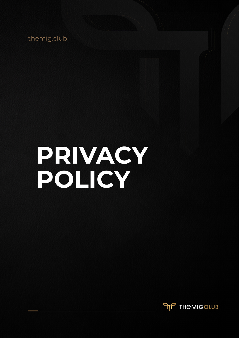themig.club

# **PRIVACY POLICY**

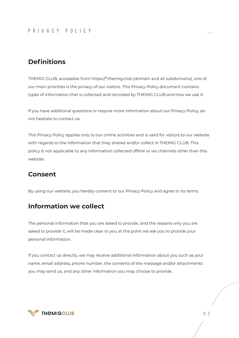# **Definitions**

THEMIG CLUB, accessible from https://\*.themig.club (domain and all subdomains), one of our main priorities is the privacy of our visitors. This Privacy Policy document contains types of information that is collected and recorded by THEMIG CLUB and how we use it.

If you have additional questions or require more information about our Privacy Policy, do not hesitate to contact us.

This Privacy Policy applies only to our online activities and is valid for visitors to our website with regards to the information that they shared and/or collect in THEMIG CLUB. This policy is not applicable to any information collected offline or via channels other than this website.

## **Consent**

By using our website, you hereby consent to our Privacy Policy and agree to its terms.

## **Information we collect**

The personal information that you are asked to provide, and the reasons why you are asked to provide it, will be made clear to you at the point we ask you to provide your personal information.

If you contact us directly, we may receive additional information about you such as your name, email address, phone number, the contents of the message and/or attachments you may send us, and any other information you may choose to provide.

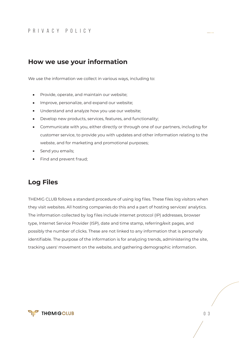# **How we use your information**

We use the information we collect in various ways, including to:

- Provide, operate, and maintain our website;  $\blacksquare$
- Improve, personalize, and expand our website;  $\blacksquare$
- Understand and analyze how you use our website;  $\blacksquare$
- Develop new products, services, features, and functionality;  $\blacksquare$
- Communicate with you, either directly or through one of our partners, including for customer service, to provide you with updates and other information relating to the webste, and for marketing and promotional purposes;
- Send you emails;
- Find and prevent fraud;

# **Log Files**

THEMIG CLUB follows a standard procedure of using log files. These files log visitors when they visit websites. All hosting companies do this and a part of hosting services' analytics. The information collected by log files include internet protocol (IP) addresses, browser type, Internet Service Provider (ISP), date and time stamp, referring/exit pages, and possibly the number of clicks. These are not linked to any information that is personally identifiable. The purpose of the information is for analyzing trends, administering the site, tracking users' movement on the website, and gathering demographic information.

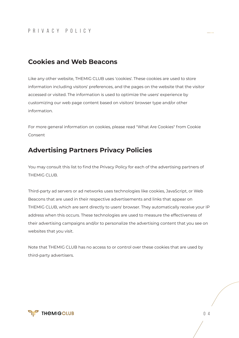## **Cookies and Web Beacons**

Like any other website, THEMIG CLUB uses 'cookies'. These cookies are used to store information including visitors' preferences, and the pages on the website that the visitor accessed or visited. The information is used to optimize the users' experience by customizing our web page content based on visitors' browser type and/or other information.

For more general information on cookies, please read "What Are Cookies" from Cookie Consent

## **Advertising Partners Privacy Policies**

You may consult this list to find the Privacy Policy for each of the advertising partners of THEMIG CLUB.

Third-party ad servers or ad networks uses technologies like cookies, JavaScript, or Web Beacons that are used in their respective advertisements and links that appear on THEMIG CLUB, which are sent directly to users' browser. They automatically receive your IP address when this occurs. These technologies are used to measure the effectiveness of their advertising campaigns and/or to personalize the advertising content that you see on websites that you visit.

Note that THEMIG CLUB has no access to or control over these cookies that are used by third-party advertisers.

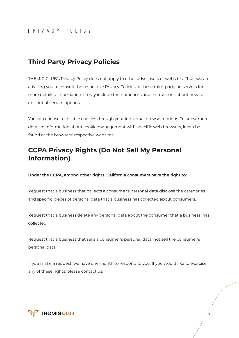# **Third Party Privacy Policies**

THEMIG CLUB's Privacy Policy does not apply to other advertisers or websites. Thus, we are advising you to consult the respective Privacy Policies of these third-party ad servers for more detailed information. It may include their practices and instructions about how to opt-out of certain options.

You can choose to disable cookies through your individual browser options. To know more detailed information about cookie management with specific web browsers, it can be found at the browsers' respective websites.

## **CCPA Privacy Rights (Do Not Sell My Personal Information)**

**Under the CCPA, among other rights, California consumers have the right to:**

Request that a business that collects a consumer's personal data disclose the categories and specific pieces of personal data that a business has collected about consumers.

Request that a business delete any personal data about the consumer that a business, has collected.

Request that a business that sells a consumer's personal data, not sell the consumer's personal data.

If you make a request, we have one month to respond to you. If you would like to exercise any of these rights, please contact us.

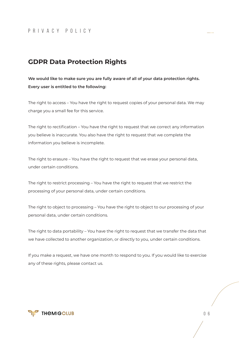# **GDPR Data Protection Rights**

**We would like to make sure you are fully aware of all of your data protection rights. Every user is entitled to the following:**

The right to access – You have the right to request copies of your personal data. We may charge you a small fee for this service.

The right to rectification – You have the right to request that we correct any information you believe is inaccurate. You also have the right to request that we complete the information you believe is incomplete.

The right to erasure – You have the right to request that we erase your personal data, under certain conditions.

The right to restrict processing – You have the right to request that we restrict the processing of your personal data, under certain conditions.

The right to object to processing – You have the right to object to our processing of your personal data, under certain conditions.

The right to data portability – You have the right to request that we transfer the data that we have collected to another organization, or directly to you, under certain conditions.

If you make a request, we have one month to respond to you. If you would like to exercise any of these rights, please contact us.